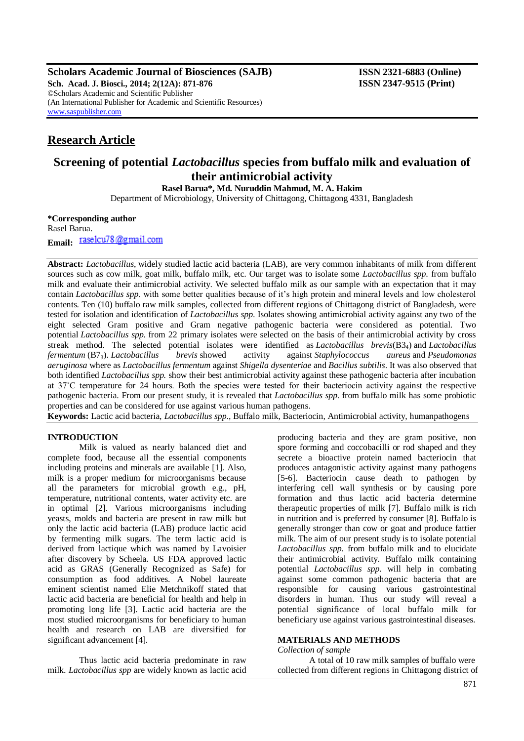**Scholars Academic Journal of Biosciences (SAJB) ISSN 2321-6883 (Online) Sch. Acad. J. Biosci., 2014; 2(12A): 871-876 ISSN 2347-9515 (Print)** ©Scholars Academic and Scientific Publisher (An International Publisher for Academic and Scientific Resources) [www.saspublisher.com](http://www.saspublisher.com/)

## **Research Article**

# **Screening of potential** *Lactobacillus* **species from buffalo milk and evaluation of their antimicrobial activity**

**Rasel Barua\*, Md. Nuruddin Mahmud, M. A. Hakim**

Department of Microbiology, University of Chittagong, Chittagong 4331, Bangladesh

#### **\*Corresponding author** Rasel Barua.

**Email:** raselcu78@gmail.com

**Abstract:** *Lactobacillus*, widely studied lactic acid bacteria (LAB), are very common inhabitants of milk from different sources such as cow milk, goat milk, buffalo milk, etc. Our target was to isolate some *Lactobacillus spp*. from buffalo milk and evaluate their antimicrobial activity. We selected buffalo milk as our sample with an expectation that it may contain *Lactobacillus spp*. with some better qualities because of it's high protein and mineral levels and low cholesterol contents. Ten (10) buffalo raw milk samples, collected from different regions of Chittagong district of Bangladesh, were tested for isolation and identification of *Lactobacillus spp*. Isolates showing antimicrobial activity against any two of the eight selected Gram positive and Gram negative pathogenic bacteria were considered as potential. Two potential *Lactobacillus spp.* from 22 primary isolates were selected on the basis of their antimicrobial activity by cross streak method. The selected potential isolates were identified as *Lactobacillus brevis*(B34) and *Lactobacillus fermentum* (B73). *Lactobacillus brevis* showed activity against *Staphylococcus aureus* and *Pseudomonas aeruginosa* where as *Lactobacillus fermentum* against *Shigella dysenteriae* and *Bacillus subtilis*. It was also observed that both identified *Lactobacillus spp.* show their best antimicrobial activity against these pathogenic bacteria after incubation at 37˚C temperature for 24 hours. Both the species were tested for their bacteriocin activity against the respective pathogenic bacteria. From our present study, it is revealed that *Lactobacillus spp.* from buffalo milk has some probiotic properties and can be considered for use against various human pathogens.

**Keywords:** Lactic acid bacteria, *Lactobacillus spp*., Buffalo milk, Bacteriocin, Antimicrobial activity, humanpathogens

## **INTRODUCTION**

Milk is valued as nearly balanced diet and complete food, because all the essential components including proteins and minerals are available [1]. Also, milk is a proper medium for microorganisms because all the parameters for microbial growth e.g., pH, temperature, nutritional contents, water activity etc. are in optimal [2]. Various microorganisms including yeasts, molds and bacteria are present in raw milk but only the lactic acid bacteria (LAB) produce lactic acid by fermenting milk sugars. The term lactic acid is derived from lactique which was named by Lavoisier after discovery by Scheela. US FDA approved lactic acid as GRAS (Generally Recognized as Safe) for consumption as food additives. A Nobel laureate eminent scientist named Elie Metchnikoff stated that lactic acid bacteria are beneficial for health and help in promoting long life [3]. Lactic acid bacteria are the most studied microorganisms for beneficiary to human health and research on LAB are diversified for significant advancement [4].

Thus lactic acid bacteria predominate in raw milk. *Lactobacillus spp* are widely known as lactic acid producing bacteria and they are gram positive, non spore forming and coccobacilli or rod shaped and they secrete a bioactive protein named bacteriocin that produces antagonistic activity against many pathogens [5-6]. Bacteriocin cause death to pathogen by interfering cell wall synthesis or by causing pore formation and thus lactic acid bacteria determine therapeutic properties of milk [7]. Buffalo milk is rich in nutrition and is preferred by consumer [8]. Buffalo is generally stronger than cow or goat and produce fattier milk. The aim of our present study is to isolate potential *Lactobacillus spp.* from buffalo milk and to elucidate their antimicrobial activity. Buffalo milk containing potential *Lactobacillus spp.* will help in combating against some common pathogenic bacteria that are responsible for causing various gastrointestinal disorders in human. Thus our study will reveal a potential significance of local buffalo milk for beneficiary use against various gastrointestinal diseases.

## **MATERIALS AND METHODS**

*Collection of sample*

A total of 10 raw milk samples of buffalo were collected from different regions in Chittagong district of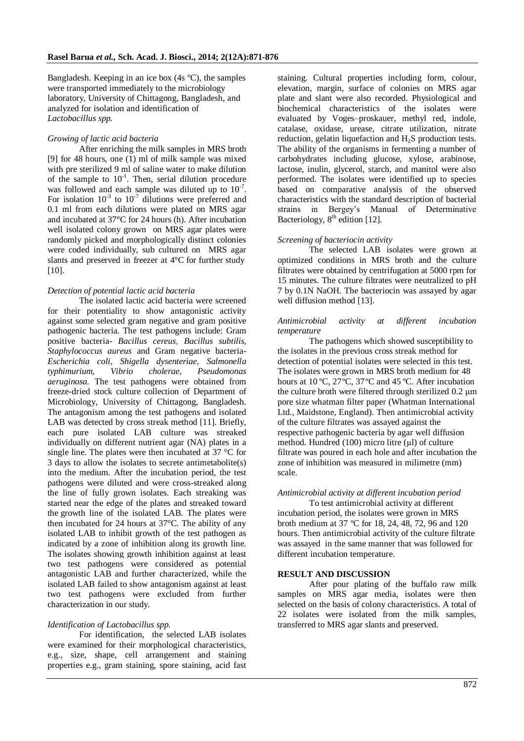Bangladesh. Keeping in an ice box (4s ºC), the samples were transported immediately to the microbiology laboratory, University of Chittagong, Bangladesh, and analyzed for isolation and identification of *Lactobacillus spp*.

## *Growing of lactic acid bacteria*

After enriching the milk samples in MRS broth [9] for 48 hours, one (1) ml of milk sample was mixed with pre sterilized 9 ml of saline water to make dilution of the sample to  $10^{-1}$ . Then, serial dilution procedure was followed and each sample was diluted up to  $10^{-7}$ . For isolation  $10^{-3}$  to  $10^{-7}$  dilutions were preferred and 0.1 ml from each dilutions were plated on MRS agar and incubated at 37°C for 24 hours (h). After incubation well isolated colony grown on MRS agar plates were randomly picked and morphologically distinct colonies were coded individually, sub cultured on MRS agar slants and preserved in freezer at 4°C for further study [10].

## *Detection of potential lactic acid bacteria*

The isolated lactic acid bacteria were screened for their potentiality to show antagonistic activity against some selected gram negative and gram positive pathogenic bacteria. The test pathogens include: Gram positive bacteria- *Bacillus cereus, Bacillus subtilis, Staphylococcus aureus* and Gram negative bacteria-*Escherichia coli, Shigella dysenteriae, Salmonella typhimurium, Vibrio cholerae, Pseudomonas aeruginosa.* The test pathogens were obtained from freeze-dried stock culture collection of Department of Microbiology, University of Chittagong, Bangladesh. The antagonism among the test pathogens and isolated LAB was detected by cross streak method [11]*.* Briefly, each pure isolated LAB culture was streaked individually on different nutrient agar (NA) plates in a single line. The plates were then incubated at 37 °C for 3 days to allow the isolates to secrete antimetabolite(s) into the medium. After the incubation period, the test pathogens were diluted and were cross-streaked along the line of fully grown isolates. Each streaking was started near the edge of the plates and streaked toward the growth line of the isolated LAB. The plates were then incubated for 24 hours at 37°C. The ability of any isolated LAB to inhibit growth of the test pathogen as indicated by a zone of inhibition along its growth line. The isolates showing growth inhibition against at least two test pathogens were considered as potential antagonistic LAB and further characterized, while the isolated LAB failed to show antagonism against at least two test pathogens were excluded from further characterization in our study.

#### *Identification of Lactobacillus spp.*

For identification, the selected LAB isolates were examined for their morphological characteristics, e.g., size, shape, cell arrangement and staining properties e.g., gram staining, spore staining, acid fast staining. Cultural properties including form, colour, elevation, margin, surface of colonies on MRS agar plate and slant were also recorded. Physiological and biochemical characteristics of the isolates were evaluated by Voges–proskauer, methyl red, indole, catalase, oxidase, urease, citrate utilization, nitrate reduction, gelatin liquefaction and  $H_2S$  production tests. The ability of the organisms in fermenting a number of carbohydrates including glucose, xylose, arabinose, lactose, inulin, glycerol, starch, and manitol were also performed. The isolates were identified up to species based on comparative analysis of the observed characteristics with the standard description of bacterial strains in Bergey's Manual of Determinative Bacteriology,  $8<sup>th</sup>$  edition [12].

## *Screening of bacteriocin activity*

The selected LAB isolates were grown at optimized conditions in MRS broth and the culture filtrates were obtained by centrifugation at 5000 rpm for 15 minutes. The culture filtrates were neutralized to pH 7 by 0.1N NaOH. The bacteriocin was assayed by agar well diffusion method [13].

#### *Antimicrobial activity at different incubation temperature*

The pathogens which showed susceptibility to the isolates in the previous cross streak method for detection of potential isolates were selected in this test. The isolates were grown in MRS broth medium for 48 hours at 10 °C, 27 °C, 37 °C and 45 °C. After incubation the culture broth were filtered through sterilized 0.2 µm pore size whatman filter paper (Whatman International Ltd., Maidstone, England). Then antimicrobial activity of the culture filtrates was assayed against the respective pathogenic bacteria by agar well diffusion method. Hundred  $(100)$  micro litre  $(\mu l)$  of culture filtrate was poured in each hole and after incubation the zone of inhibition was measured in milimetre (mm) scale.

## *Antimicrobial activity at different incubation period*

To test antimicrobial activity at different incubation period, the isolates were grown in MRS broth medium at 37 ºC for 18, 24, 48, 72, 96 and 120 hours. Then antimicrobial activity of the culture filtrate was assayed in the same manner that was followed for different incubation temperature.

## **RESULT AND DISCUSSION**

After pour plating of the buffalo raw milk samples on MRS agar media, isolates were then selected on the basis of colony characteristics. A total of 22 isolates were isolated from the milk samples, transferred to MRS agar slants and preserved.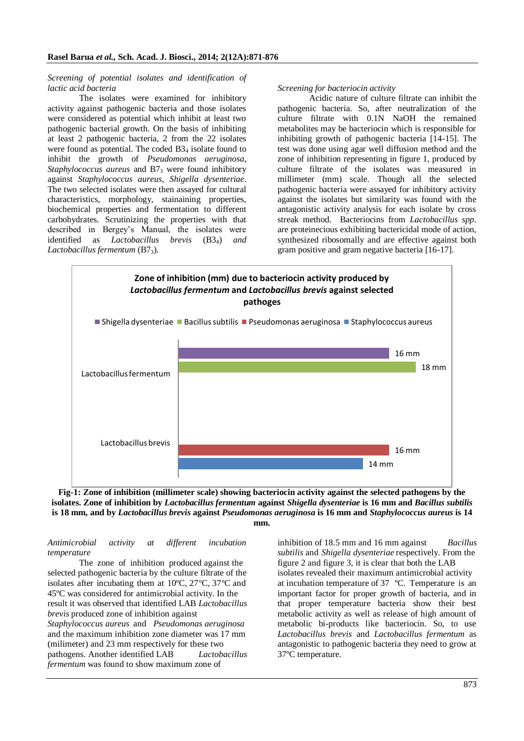#### *Screening of potential isolates and identification of lactic acid bacteria*

The isolates were examined for inhibitory activity against pathogenic bacteria and those isolates were considered as potential which inhibit at least two pathogenic bacterial growth. On the basis of inhibiting at least 2 pathogenic bacteria, 2 from the 22 isolates were found as potential. The coded B<sub>34</sub> isolate found to inhibit the growth of *Pseudomonas aeruginosa*, *Staphylococcus aureus* and B7<sub>3</sub> were found inhibitory against *Staphylococcus aureus*, *Shigella dysenteriae*. The two selected isolates were then assayed for cultural characteristics, morphology, stainaining properties, biochemical properties and fermentation to different carbohydrates. Scrutinizing the properties with that described in Bergey's Manual, the isolates were identified as *Lactobacillus brevis* (B34) *and Lactobacillus fermentum* (B73).

#### *Screening for bacteriocin activity*

Acidic nature of culture filtrate can inhibit the pathogenic bacteria. So, after neutralization of the culture filtrate with 0.1N NaOH the remained metabolites may be bacteriocin which is responsible for inhibiting growth of pathogenic bacteria [14-15]. The test was done using agar well diffusion method and the zone of inhibition representing in figure 1, produced by culture filtrate of the isolates was measured in millimeter (mm) scale. Though all the selected pathogenic bacteria were assayed for inhibitory activity against the isolates but similarity was found with the antagonistic activity analysis for each isolate by cross streak method. Bacteriocins from *Lactobacillus spp.* are proteinecious exhibiting bactericidal mode of action, synthesized ribosomally and are effective against both gram positive and gram negative bacteria [16-17].





#### *Antimicrobial activity at different incubation temperature*

The zone of inhibition produced against the selected pathogenic bacteria by the culture filtrate of the isolates after incubating them at 10ºC, 27ºC, 37ºC and 45ºC was considered for antimicrobial activity. In the result it was observed that identified LAB *Lactobacillus brevis* produced zone of inhibition against *Staphylococcus aureus* and *Pseudomonas aeruginosa* and the maximum inhibition zone diameter was 17 mm (milimeter) and 23 mm respectively for these two pathogens. Another identified LAB *Lactobacillus fermentum* was found to show maximum zone of

inhibition of 18.5 mm and 16 mm against *Bacillus subtilis* and *Shigella dysenteriae* respectively. From the figure 2 and figure 3, it is clear that both the LAB isolates revealed their maximum antimicrobial activity at incubation temperature of 37 ºC. Temperature is an important factor for proper growth of bacteria, and in that proper temperature bacteria show their best metabolic activity as well as release of high amount of metabolic bi-products like bacteriocin. So, to use *Lactobacillus brevis* and *Lactobacillus fermentum* as antagonistic to pathogenic bacteria they need to grow at 37ºC temperature.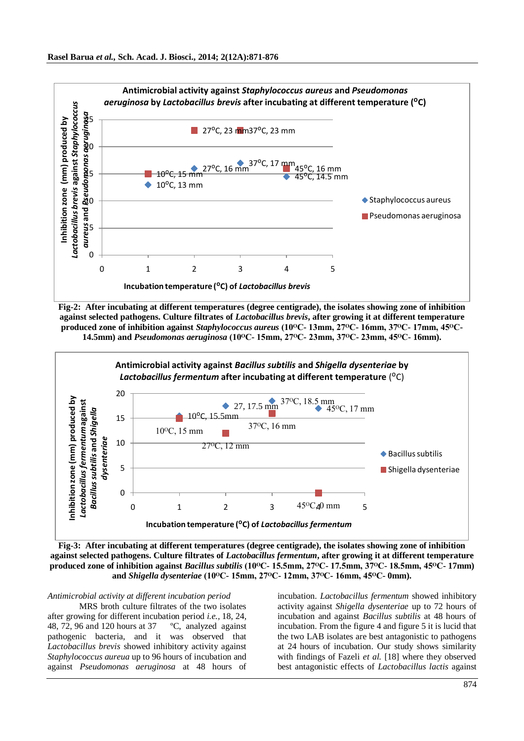

**Fig-2: After incubating at different temperatures (degree centigrade), the isolates showing zone of inhibition against selected pathogens. Culture filtrates of** *Lactobacillus brevis***, after growing it at different temperature produced zone of inhibition against** *Staphylococcus aureus* **(10ᴼC- 13mm, 27ᴼC- 16mm, 37ᴼC- 17mm, 45ᴼC-14.5mm) and** *Pseudomonas aeruginosa* **(10ᴼC- 15mm, 27ᴼC- 23mm, 37ᴼC- 23mm, 45ᴼC- 16mm).**



**Fig-3: After incubating at different temperatures (degree centigrade), the isolates showing zone of inhibition against selected pathogens. Culture filtrates of** *Lactobacillus fermentum***, after growing it at different temperature produced zone of inhibition against** *Bacillus subtilis* **(10ᴼC- 15.5mm, 27ᴼC- 17.5mm, 37ᴼC- 18.5mm, 45ᴼC- 17mm) and** *Shigella dysenteriae* **(10ᴼC- 15mm, 27ᴼC- 12mm, 37ᴼC- 16mm, 45ᴼC- 0mm).**

## *Antimicrobial activity at different incubation period*

MRS broth culture filtrates of the two isolates after growing for different incubation period *i.e.,* 18, 24, 48, 72, 96 and 120 hours at 37 ºC, analyzed against pathogenic bacteria, and it was observed that *Lactobacillus brevis* showed inhibitory activity against *Staphylococcus aureua* up to 96 hours of incubation and against *Pseudomonas aeruginosa* at 48 hours of

incubation. *Lactobacillus fermentum* showed inhibitory activity against *Shigella dysenteriae* up to 72 hours of incubation and against *Bacillus subtilis* at 48 hours of incubation. From the figure 4 and figure 5 it is lucid that the two LAB isolates are best antagonistic to pathogens at 24 hours of incubation. Our study shows similarity with findings of Fazeli *et al.* [18] where they observed best antagonistic effects of *Lactobacillus lactis* against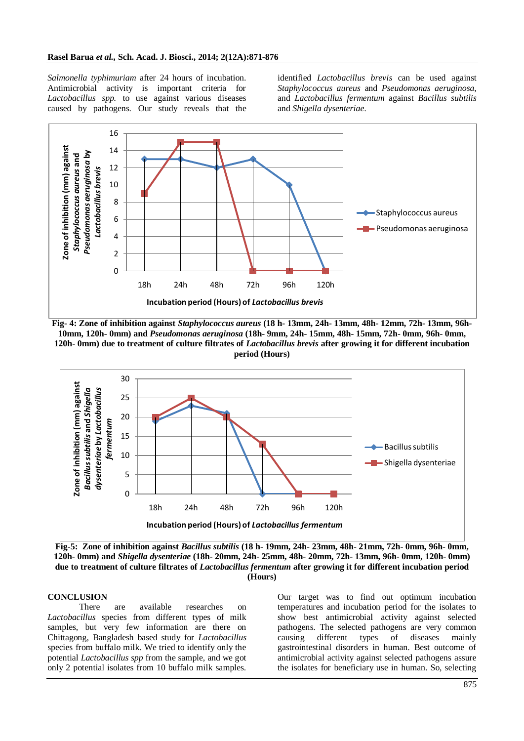*Salmonella typhimuriam* after 24 hours of incubation. Antimicrobial activity is important criteria for *Lactobacillus spp.* to use against various diseases caused by pathogens. Our study reveals that the identified *Lactobacillus brevis* can be used against *Staphylococcus aureus* and *Pseudomonas aeruginosa*, and *Lactobacillus fermentum* against *Bacillus subtilis* and *Shigella dysenteriae*.



**Fig- 4: Zone of inhibition against** *Staphylococcus aureus* **(18 h- 13mm, 24h- 13mm, 48h- 12mm, 72h- 13mm, 96h-10mm, 120h- 0mm) and** *Pseudomonas aeruginosa* **(18h- 9mm, 24h- 15mm, 48h- 15mm, 72h- 0mm, 96h- 0mm, 120h- 0mm) due to treatment of culture filtrates of** *Lactobacillus brevis* **after growing it for different incubation period (Hours)**



**Fig-5: Zone of inhibition against** *Bacillus subtilis* **(18 h- 19mm, 24h- 23mm, 48h- 21mm, 72h- 0mm, 96h- 0mm, 120h- 0mm) and** *Shigella dysenteriae* **(18h- 20mm, 24h- 25mm, 48h- 20mm, 72h- 13mm, 96h- 0mm, 120h- 0mm) due to treatment of culture filtrates of** *Lactobacillus fermentum* **after growing it for different incubation period (Hours)**

## **CONCLUSION**

There are available researches on *Lactobacillus* species from different types of milk samples, but very few information are there on Chittagong, Bangladesh based study for *Lactobacillus* species from buffalo milk. We tried to identify only the potential *Lactobacillus spp* from the sample, and we got only 2 potential isolates from 10 buffalo milk samples.

Our target was to find out optimum incubation temperatures and incubation period for the isolates to show best antimicrobial activity against selected pathogens. The selected pathogens are very common causing different types of diseases mainly gastrointestinal disorders in human. Best outcome of antimicrobial activity against selected pathogens assure the isolates for beneficiary use in human. So, selecting